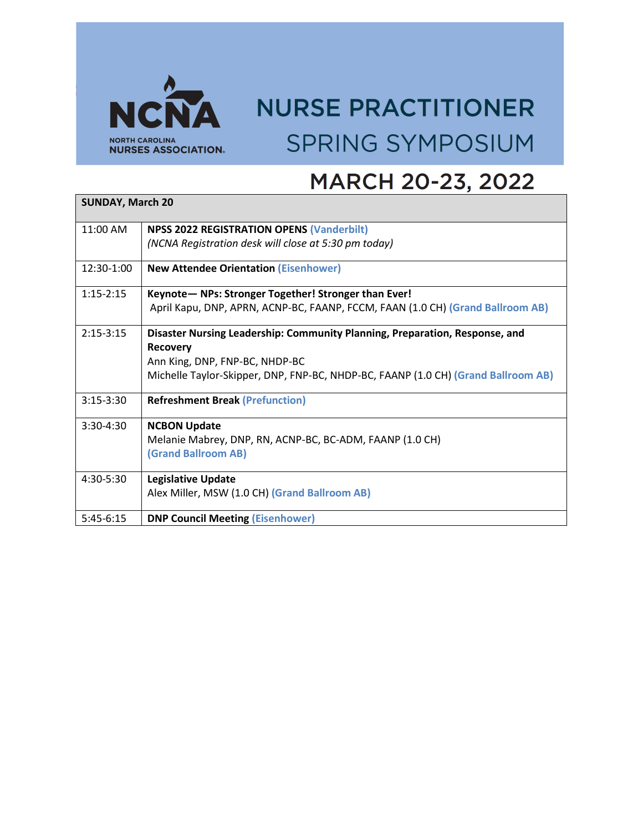

## **NURSE PRACTITIONER SPRING SYMPOSIUM**

## MARCH 20-23, 2022

| <b>SUNDAY, March 20</b> |                                                                                                |  |
|-------------------------|------------------------------------------------------------------------------------------------|--|
| 11:00 AM                | <b>NPSS 2022 REGISTRATION OPENS (Vanderbilt)</b>                                               |  |
|                         | (NCNA Registration desk will close at 5:30 pm today)                                           |  |
| 12:30-1:00              | <b>New Attendee Orientation (Eisenhower)</b>                                                   |  |
| $1:15-2:15$             | Keynote- NPs: Stronger Together! Stronger than Ever!                                           |  |
|                         | April Kapu, DNP, APRN, ACNP-BC, FAANP, FCCM, FAAN (1.0 CH) (Grand Ballroom AB)                 |  |
| $2:15-3:15$             | Disaster Nursing Leadership: Community Planning, Preparation, Response, and<br><b>Recovery</b> |  |
|                         | Ann King, DNP, FNP-BC, NHDP-BC                                                                 |  |
|                         | Michelle Taylor-Skipper, DNP, FNP-BC, NHDP-BC, FAANP (1.0 CH) (Grand Ballroom AB)              |  |
| $3:15-3:30$             | <b>Refreshment Break (Prefunction)</b>                                                         |  |
| $3:30-4:30$             | <b>NCBON Update</b>                                                                            |  |
|                         | Melanie Mabrey, DNP, RN, ACNP-BC, BC-ADM, FAANP (1.0 CH)                                       |  |
|                         | (Grand Ballroom AB)                                                                            |  |
| $4:30-5:30$             | <b>Legislative Update</b>                                                                      |  |
|                         | Alex Miller, MSW (1.0 CH) (Grand Ballroom AB)                                                  |  |
| $5:45-6:15$             | <b>DNP Council Meeting (Eisenhower)</b>                                                        |  |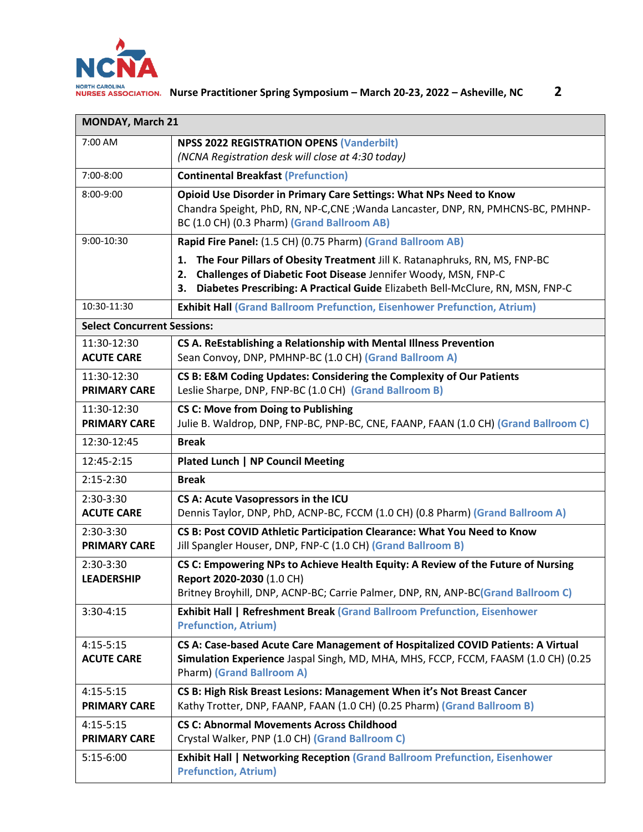

| <b>MONDAY, March 21</b>            |                                                                                                                                                                                                                                                  |
|------------------------------------|--------------------------------------------------------------------------------------------------------------------------------------------------------------------------------------------------------------------------------------------------|
| 7:00 AM                            | <b>NPSS 2022 REGISTRATION OPENS (Vanderbilt)</b><br>(NCNA Registration desk will close at 4:30 today)                                                                                                                                            |
| 7:00-8:00                          | <b>Continental Breakfast (Prefunction)</b>                                                                                                                                                                                                       |
| 8:00-9:00                          | Opioid Use Disorder in Primary Care Settings: What NPs Need to Know<br>Chandra Speight, PhD, RN, NP-C, CNE; Wanda Lancaster, DNP, RN, PMHCNS-BC, PMHNP-<br>BC (1.0 CH) (0.3 Pharm) (Grand Ballroom AB)                                           |
| 9:00-10:30                         | Rapid Fire Panel: (1.5 CH) (0.75 Pharm) (Grand Ballroom AB)                                                                                                                                                                                      |
|                                    | The Four Pillars of Obesity Treatment Jill K. Ratanaphruks, RN, MS, FNP-BC<br>1.<br>Challenges of Diabetic Foot Disease Jennifer Woody, MSN, FNP-C<br>2.<br>Diabetes Prescribing: A Practical Guide Elizabeth Bell-McClure, RN, MSN, FNP-C<br>3. |
| 10:30-11:30                        | <b>Exhibit Hall (Grand Ballroom Prefunction, Eisenhower Prefunction, Atrium)</b>                                                                                                                                                                 |
| <b>Select Concurrent Sessions:</b> |                                                                                                                                                                                                                                                  |
| 11:30-12:30<br><b>ACUTE CARE</b>   | CS A. ReEstablishing a Relationship with Mental Illness Prevention<br>Sean Convoy, DNP, PMHNP-BC (1.0 CH) (Grand Ballroom A)                                                                                                                     |
| 11:30-12:30<br><b>PRIMARY CARE</b> | CS B: E&M Coding Updates: Considering the Complexity of Our Patients<br>Leslie Sharpe, DNP, FNP-BC (1.0 CH) (Grand Ballroom B)                                                                                                                   |
| 11:30-12:30<br><b>PRIMARY CARE</b> | <b>CS C: Move from Doing to Publishing</b><br>Julie B. Waldrop, DNP, FNP-BC, PNP-BC, CNE, FAANP, FAAN (1.0 CH) (Grand Ballroom C)                                                                                                                |
| 12:30-12:45                        | <b>Break</b>                                                                                                                                                                                                                                     |
| 12:45-2:15                         | <b>Plated Lunch   NP Council Meeting</b>                                                                                                                                                                                                         |
| $2:15-2:30$                        | <b>Break</b>                                                                                                                                                                                                                                     |
| 2:30-3:30<br><b>ACUTE CARE</b>     | CS A: Acute Vasopressors in the ICU<br>Dennis Taylor, DNP, PhD, ACNP-BC, FCCM (1.0 CH) (0.8 Pharm) (Grand Ballroom A)                                                                                                                            |
| 2:30-3:30<br><b>PRIMARY CARE</b>   | CS B: Post COVID Athletic Participation Clearance: What You Need to Know<br>Jill Spangler Houser, DNP, FNP-C (1.0 CH) (Grand Ballroom B)                                                                                                         |
| 2:30-3:30<br><b>LEADERSHIP</b>     | CS C: Empowering NPs to Achieve Health Equity: A Review of the Future of Nursing<br>Report 2020-2030 (1.0 CH)<br>Britney Broyhill, DNP, ACNP-BC; Carrie Palmer, DNP, RN, ANP-BC(Grand Ballroom C)                                                |
| 3:30-4:15                          | <b>Exhibit Hall   Refreshment Break (Grand Ballroom Prefunction, Eisenhower</b><br><b>Prefunction, Atrium)</b>                                                                                                                                   |
| $4:15-5:15$<br><b>ACUTE CARE</b>   | CS A: Case-based Acute Care Management of Hospitalized COVID Patients: A Virtual<br>Simulation Experience Jaspal Singh, MD, MHA, MHS, FCCP, FCCM, FAASM (1.0 CH) (0.25<br><b>Pharm) (Grand Ballroom A)</b>                                       |
| $4:15-5:15$<br><b>PRIMARY CARE</b> | CS B: High Risk Breast Lesions: Management When it's Not Breast Cancer<br>Kathy Trotter, DNP, FAANP, FAAN (1.0 CH) (0.25 Pharm) (Grand Ballroom B)                                                                                               |
| $4:15-5:15$<br><b>PRIMARY CARE</b> | <b>CS C: Abnormal Movements Across Childhood</b><br>Crystal Walker, PNP (1.0 CH) (Grand Ballroom C)                                                                                                                                              |
| $5:15-6:00$                        | <b>Exhibit Hall   Networking Reception (Grand Ballroom Prefunction, Eisenhower</b><br><b>Prefunction, Atrium)</b>                                                                                                                                |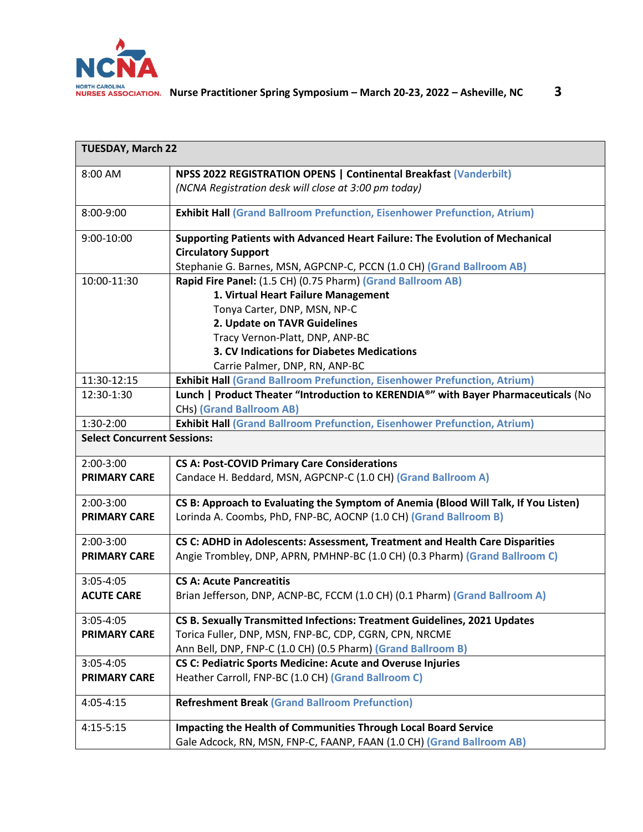

| <b>TUESDAY, March 22</b>           |                                                                                     |  |
|------------------------------------|-------------------------------------------------------------------------------------|--|
| 8:00 AM                            | NPSS 2022 REGISTRATION OPENS   Continental Breakfast (Vanderbilt)                   |  |
|                                    | (NCNA Registration desk will close at 3:00 pm today)                                |  |
| 8:00-9:00                          | <b>Exhibit Hall (Grand Ballroom Prefunction, Eisenhower Prefunction, Atrium)</b>    |  |
| 9:00-10:00                         | Supporting Patients with Advanced Heart Failure: The Evolution of Mechanical        |  |
|                                    | <b>Circulatory Support</b>                                                          |  |
|                                    | Stephanie G. Barnes, MSN, AGPCNP-C, PCCN (1.0 CH) (Grand Ballroom AB)               |  |
| 10:00-11:30                        | Rapid Fire Panel: (1.5 CH) (0.75 Pharm) (Grand Ballroom AB)                         |  |
|                                    | 1. Virtual Heart Failure Management                                                 |  |
|                                    | Tonya Carter, DNP, MSN, NP-C                                                        |  |
|                                    | 2. Update on TAVR Guidelines                                                        |  |
|                                    | Tracy Vernon-Platt, DNP, ANP-BC                                                     |  |
|                                    | 3. CV Indications for Diabetes Medications                                          |  |
|                                    | Carrie Palmer, DNP, RN, ANP-BC                                                      |  |
| 11:30-12:15                        | <b>Exhibit Hall (Grand Ballroom Prefunction, Eisenhower Prefunction, Atrium)</b>    |  |
| 12:30-1:30                         | Lunch   Product Theater "Introduction to KERENDIA®" with Bayer Pharmaceuticals (No  |  |
|                                    | <b>CHs) (Grand Ballroom AB)</b>                                                     |  |
| 1:30-2:00                          | <b>Exhibit Hall (Grand Ballroom Prefunction, Eisenhower Prefunction, Atrium)</b>    |  |
| <b>Select Concurrent Sessions:</b> |                                                                                     |  |
| 2:00-3:00                          | <b>CS A: Post-COVID Primary Care Considerations</b>                                 |  |
| <b>PRIMARY CARE</b>                | Candace H. Beddard, MSN, AGPCNP-C (1.0 CH) (Grand Ballroom A)                       |  |
| $2:00-3:00$                        | CS B: Approach to Evaluating the Symptom of Anemia (Blood Will Talk, If You Listen) |  |
| <b>PRIMARY CARE</b>                | Lorinda A. Coombs, PhD, FNP-BC, AOCNP (1.0 CH) (Grand Ballroom B)                   |  |
| 2:00-3:00                          | CS C: ADHD in Adolescents: Assessment, Treatment and Health Care Disparities        |  |
| <b>PRIMARY CARE</b>                | Angie Trombley, DNP, APRN, PMHNP-BC (1.0 CH) (0.3 Pharm) (Grand Ballroom C)         |  |
| 3:05-4:05                          | <b>CS A: Acute Pancreatitis</b>                                                     |  |
| <b>ACUTE CARE</b>                  | Brian Jefferson, DNP, ACNP-BC, FCCM (1.0 CH) (0.1 Pharm) (Grand Ballroom A)         |  |
| 3:05-4:05                          | CS B. Sexually Transmitted Infections: Treatment Guidelines, 2021 Updates           |  |
| <b>PRIMARY CARE</b>                | Torica Fuller, DNP, MSN, FNP-BC, CDP, CGRN, CPN, NRCME                              |  |
|                                    | Ann Bell, DNP, FNP-C (1.0 CH) (0.5 Pharm) (Grand Ballroom B)                        |  |
| 3:05-4:05                          | <b>CS C: Pediatric Sports Medicine: Acute and Overuse Injuries</b>                  |  |
| <b>PRIMARY CARE</b>                | Heather Carroll, FNP-BC (1.0 CH) (Grand Ballroom C)                                 |  |
| 4:05-4:15                          | <b>Refreshment Break (Grand Ballroom Prefunction)</b>                               |  |
| $4:15 - 5:15$                      | Impacting the Health of Communities Through Local Board Service                     |  |
|                                    | Gale Adcock, RN, MSN, FNP-C, FAANP, FAAN (1.0 CH) (Grand Ballroom AB)               |  |